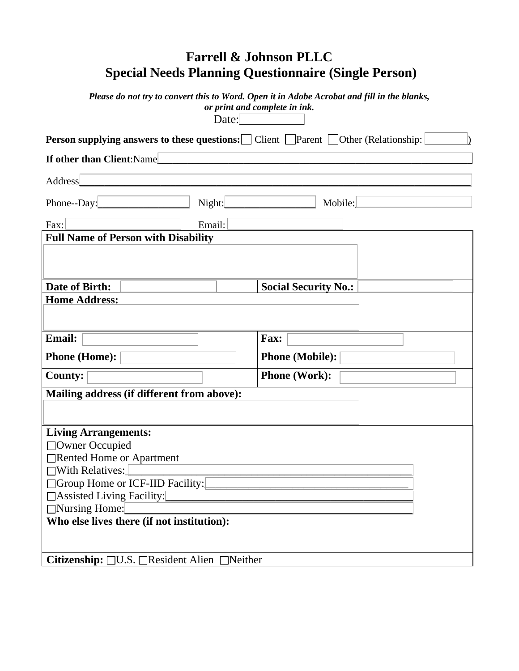|                                                                                        | <b>Farrell &amp; Johnson PLLC</b><br><b>Special Needs Planning Questionnaire (Single Person)</b>                             |
|----------------------------------------------------------------------------------------|------------------------------------------------------------------------------------------------------------------------------|
| Date:                                                                                  | Please do not try to convert this to Word. Open it in Adobe Acrobat and fill in the blanks,<br>or print and complete in ink. |
| <b>Person supplying answers to these questions:</b> Client Parent Other (Relationship: |                                                                                                                              |
| <b>If other than Client: Namel</b>                                                     |                                                                                                                              |
|                                                                                        |                                                                                                                              |
| <b>Address</b>                                                                         |                                                                                                                              |
| Night:<br>Phone--Day:                                                                  | Mobile:                                                                                                                      |
|                                                                                        |                                                                                                                              |
| Email:<br>Fax:                                                                         |                                                                                                                              |
| <b>Full Name of Person with Disability</b>                                             |                                                                                                                              |
|                                                                                        |                                                                                                                              |
|                                                                                        |                                                                                                                              |
| Date of Birth:                                                                         | <b>Social Security No.:</b>                                                                                                  |
| <b>Home Address:</b>                                                                   |                                                                                                                              |
|                                                                                        |                                                                                                                              |
|                                                                                        |                                                                                                                              |
| <b>Email:</b>                                                                          | Fax:                                                                                                                         |
| <b>Phone (Home):</b>                                                                   | <b>Phone (Mobile):</b>                                                                                                       |
| <b>County:</b>                                                                         | <b>Phone (Work):</b>                                                                                                         |
|                                                                                        |                                                                                                                              |
| Mailing address (if different from above):                                             |                                                                                                                              |
|                                                                                        |                                                                                                                              |
| <b>Living Arrangements:</b>                                                            |                                                                                                                              |
| □Owner Occupied                                                                        |                                                                                                                              |
| Rented Home or Apartment                                                               |                                                                                                                              |
| $\Box$ With Relatives:                                                                 |                                                                                                                              |
| □ Group Home or ICF-IID Facility:                                                      |                                                                                                                              |
| □ Assisted Living Facility:                                                            |                                                                                                                              |
| □Nursing Home:                                                                         |                                                                                                                              |
| Who else lives there (if not institution):                                             |                                                                                                                              |
|                                                                                        |                                                                                                                              |
|                                                                                        |                                                                                                                              |
| Citizenship: □U.S. □ Resident Alien □ Neither                                          |                                                                                                                              |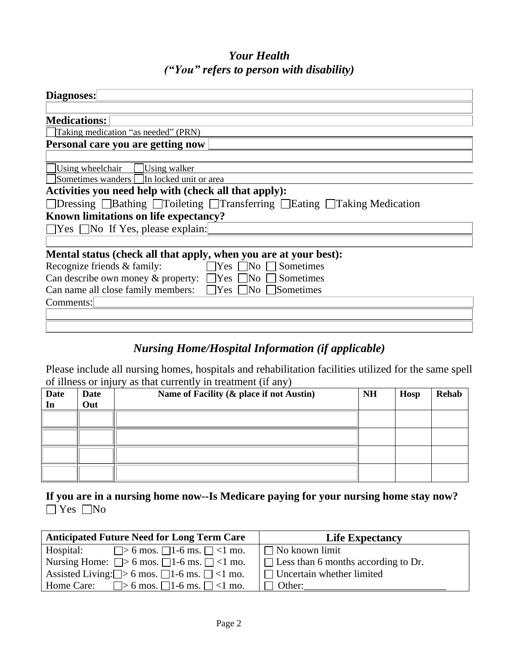## *Your Health ("You" refers to person with disability)*

| Diagnoses:                                                                                                 |
|------------------------------------------------------------------------------------------------------------|
|                                                                                                            |
| <b>Medications:</b>                                                                                        |
| Taking medication "as needed" (PRN)                                                                        |
| Personal care you are getting now                                                                          |
|                                                                                                            |
| Using wheelchair<br>Using walker                                                                           |
| Sometimes wanders In locked unit or area                                                                   |
| Activities you need help with (check all that apply):                                                      |
| $\Box$ Dressing $\Box$ Bathing $\Box$ Toileting $\Box$ Transferring $\Box$ Eating $\Box$ Taking Medication |
| Known limitations on life expectancy?                                                                      |
| $\Box$ Yes $\Box$ No If Yes, please explain:                                                               |
|                                                                                                            |
| Mental status (check all that apply, when you are at your best):                                           |
| Recognize friends & family:<br>$\Box$ Yes $\Box$ No $\Box$ Sometimes                                       |
| Can describe own money & property: $\Box$ Yes $\Box$ No $\Box$ Sometimes                                   |
| Can name all close family members: $\Box$ Yes<br>Sometimes<br>$\Box$ No                                    |
| Comments:                                                                                                  |
|                                                                                                            |
|                                                                                                            |

### *Nursing Home/Hospital Information (if applicable)*

Please include all nursing homes, hospitals and rehabilitation facilities utilized for the same spell of illness or injury as that currently in treatment (if any)

| <b>Date</b><br>In | Date<br>Out | Name of Facility (& place if not Austin) | <b>NH</b> | <b>Hosp</b> | <b>Rehab</b> |
|-------------------|-------------|------------------------------------------|-----------|-------------|--------------|
|                   |             |                                          |           |             |              |
|                   |             |                                          |           |             |              |
|                   |             |                                          |           |             |              |
|                   |             |                                          |           |             |              |

**If you are in a nursing home now--Is Medicare paying for your nursing home stay now?**   $\Box$  Yes  $\Box$ No

| <b>Anticipated Future Need for Long Term Care</b>             | <b>Life Expectancy</b>                     |
|---------------------------------------------------------------|--------------------------------------------|
| $\Box$ > 6 mos. $\Box$ 1-6 ms. $\Box$ <1 mo.<br>Hospital:     | $\Box$ No known limit                      |
| Nursing Home: $\Box$ > 6 mos. $\Box$ 1-6 ms. $\Box$ <1 mo.    | $\Box$ Less than 6 months according to Dr. |
| Assisted Living: $\Box$ > 6 mos. $\Box$ 1-6 ms. $\Box$ <1 mo. | $\Box$ Uncertain whether limited           |
| $\Box$ > 6 mos. $\Box$ 1-6 ms. $\Box$ <1 mo.<br>Home Care:    | Other:                                     |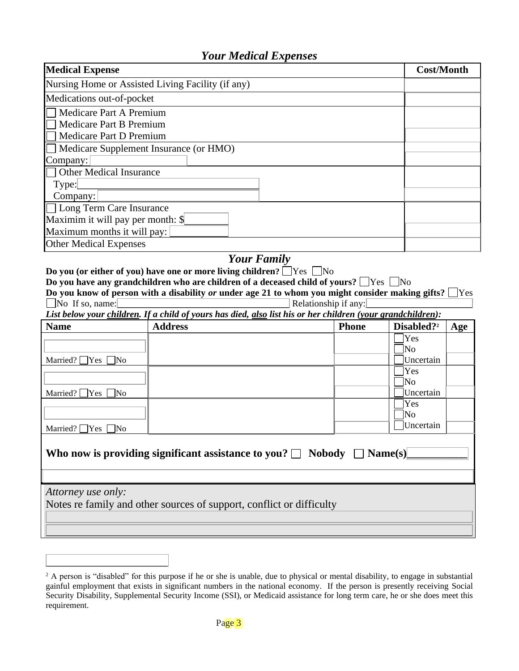#### *Your Medical Expenses*

| <b>Medical Expense</b>                            |                                                                                                             | <b>Cost/Month</b>    |                               |
|---------------------------------------------------|-------------------------------------------------------------------------------------------------------------|----------------------|-------------------------------|
| Nursing Home or Assisted Living Facility (if any) |                                                                                                             |                      |                               |
| Medications out-of-pocket                         |                                                                                                             |                      |                               |
| Medicare Part A Premium                           |                                                                                                             |                      |                               |
| Medicare Part B Premium                           |                                                                                                             |                      |                               |
| Medicare Part D Premium                           |                                                                                                             |                      |                               |
| Medicare Supplement Insurance (or HMO)            |                                                                                                             |                      |                               |
| Company:                                          |                                                                                                             |                      |                               |
| <b>Other Medical Insurance</b>                    |                                                                                                             |                      |                               |
| Type:                                             |                                                                                                             |                      |                               |
| Company:                                          |                                                                                                             |                      |                               |
| <b>Long Term Care Insurance</b>                   |                                                                                                             |                      |                               |
| Maximim it will pay per month: \$                 |                                                                                                             |                      |                               |
| Maximum months it will pay:                       |                                                                                                             |                      |                               |
| <b>Other Medical Expenses</b>                     |                                                                                                             |                      |                               |
|                                                   | <b>Your Family</b>                                                                                          |                      |                               |
|                                                   | Do you (or either of you) have one or more living children? $\Box$ Yes $\Box$ No                            |                      |                               |
|                                                   | Do you have any grandchildren who are children of a deceased child of yours? $\Box$ Yes $\Box$ No           |                      |                               |
|                                                   | Do you know of person with a disability or under age 21 to whom you might consider making gifts? [          |                      | ∣Yes                          |
|                                                   |                                                                                                             |                      |                               |
| $\Box$ No If so, name:                            |                                                                                                             | Relationship if any: |                               |
|                                                   | List below your children. If a child of yours has died, also list his or her children (your grandchildren): |                      |                               |
| <b>Name</b>                                       | <b>Address</b>                                                                                              | <b>Phone</b>         | Disabled? <sup>2</sup><br>Age |
|                                                   |                                                                                                             |                      | Yes                           |
|                                                   |                                                                                                             |                      | lNo                           |
| Married? $\Box$ Yes<br>$\Box$ No                  |                                                                                                             |                      | Uncertain                     |
|                                                   |                                                                                                             |                      | Yes<br>ÌNо                    |
| Married? $\Box$ Yes<br>⊺No                        |                                                                                                             |                      | Uncertain                     |
|                                                   |                                                                                                             |                      | Yes                           |
|                                                   |                                                                                                             |                      | No                            |
| Married? $\Box$ Yes<br>lNo                        |                                                                                                             |                      | Uncertain                     |
|                                                   |                                                                                                             |                      |                               |
|                                                   | Who now is providing significant assistance to you? $\Box$ Nobody $\Box$ Name(s)                            |                      |                               |
|                                                   |                                                                                                             |                      |                               |
|                                                   |                                                                                                             |                      |                               |
|                                                   |                                                                                                             |                      |                               |
| Attorney use only:                                |                                                                                                             |                      |                               |
|                                                   | Notes re family and other sources of support, conflict or difficulty                                        |                      |                               |
|                                                   |                                                                                                             |                      |                               |

<sup>&</sup>lt;sup>2</sup> A person is "disabled" for this purpose if he or she is unable, due to physical or mental disability, to engage in substantial gainful employment that exists in significant numbers in the national economy. If the person is presently receiving Social Security Disability, Supplemental Security Income (SSI), or Medicaid assistance for long term care, he or she does meet this requirement.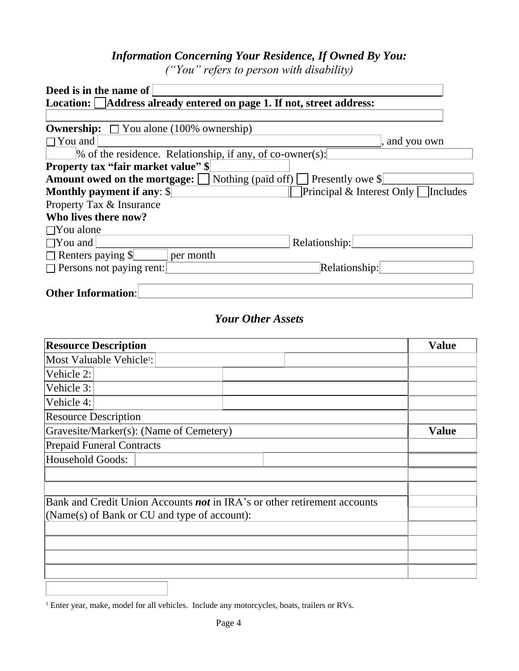# *Information Concerning Your Residence, If Owned By You:*

*("You" refers to person with disability)*

| Deed is in the name of                                                                |               |
|---------------------------------------------------------------------------------------|---------------|
| Location: Address already entered on page 1. If not, street address:                  |               |
|                                                                                       |               |
| <b>Ownership:</b> $\Box$ You alone (100% ownership)                                   |               |
| $\Box$ You and                                                                        | , and you own |
| $\%$ of the residence. Relationship, if any, of co-owner(s):                          |               |
| <b>Property tax "fair market value"</b> \,                                            |               |
| <b>Amount owed on the mortgage:</b> $\Box$ Nothing (paid off) $\Box$ Presently owe \, |               |
| Principal & Interest Only<br><b>Monthly payment if any: \$</b>                        | Includes      |
| Property Tax & Insurance                                                              |               |
| Who lives there now?                                                                  |               |
| $\Box$ You alone                                                                      |               |
| $\Box$ You and<br>Relationship:                                                       |               |
| $\Box$ Renters paying \$<br>per month                                                 |               |
| $\Box$ Persons not paying rent:<br>Relationship:                                      |               |
|                                                                                       |               |
| <b>Other Information:</b>                                                             |               |

## *Your Other Assets*

| <b>Resource Description</b>                                                     | <b>Value</b> |
|---------------------------------------------------------------------------------|--------------|
| Most Valuable Vehicle <sup>1</sup> :                                            |              |
| Vehicle 2:                                                                      |              |
| Vehicle 3:                                                                      |              |
| Vehicle 4:                                                                      |              |
| <b>Resource Description</b>                                                     |              |
| Gravesite/Marker(s): (Name of Cemetery)                                         | <b>Value</b> |
| <b>Prepaid Funeral Contracts</b>                                                |              |
| Household Goods:                                                                |              |
|                                                                                 |              |
|                                                                                 |              |
| Bank and Credit Union Accounts <b>not</b> in IRA's or other retirement accounts |              |
| (Name(s) of Bank or CU and type of account):                                    |              |
|                                                                                 |              |
|                                                                                 |              |
|                                                                                 |              |
|                                                                                 |              |
|                                                                                 |              |

<sup>1</sup> Enter year, make, model for all vehicles. Include any motorcycles, boats, trailers or RVs.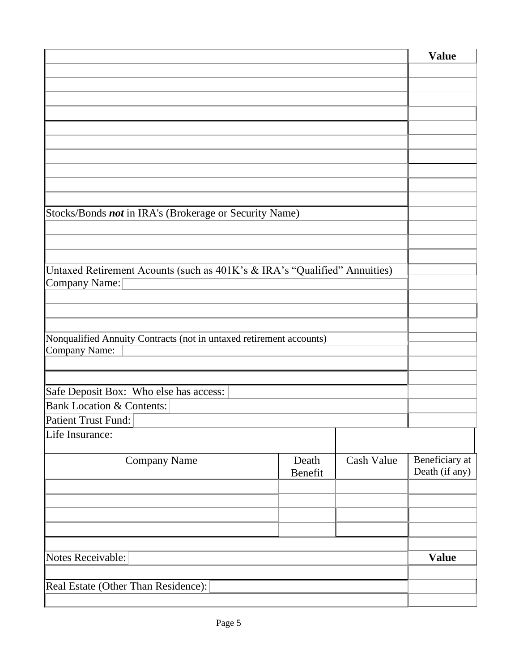|                                                                           |         |            | <b>Value</b>   |
|---------------------------------------------------------------------------|---------|------------|----------------|
|                                                                           |         |            |                |
|                                                                           |         |            |                |
|                                                                           |         |            |                |
|                                                                           |         |            |                |
|                                                                           |         |            |                |
|                                                                           |         |            |                |
|                                                                           |         |            |                |
|                                                                           |         |            |                |
|                                                                           |         |            |                |
| Stocks/Bonds not in IRA's (Brokerage or Security Name)                    |         |            |                |
|                                                                           |         |            |                |
|                                                                           |         |            |                |
|                                                                           |         |            |                |
| Untaxed Retirement Acounts (such as 401K's & IRA's "Qualified" Annuities) |         |            |                |
| Company Name:                                                             |         |            |                |
|                                                                           |         |            |                |
|                                                                           |         |            |                |
| Nonqualified Annuity Contracts (not in untaxed retirement accounts)       |         |            |                |
| Company Name:                                                             |         |            |                |
|                                                                           |         |            |                |
|                                                                           |         |            |                |
| Safe Deposit Box: Who else has access:                                    |         |            |                |
| <b>Bank Location &amp; Contents:</b>                                      |         |            |                |
| <b>Patient Trust Fund:</b>                                                |         |            |                |
| Life Insurance:                                                           |         |            |                |
| <b>Company Name</b>                                                       | Death   | Cash Value | Beneficiary at |
|                                                                           | Benefit |            | Death (if any) |
|                                                                           |         |            |                |
|                                                                           |         |            |                |
|                                                                           |         |            |                |
|                                                                           |         |            |                |
|                                                                           |         |            |                |
| Notes Receivable:                                                         |         |            | <b>Value</b>   |
|                                                                           |         |            |                |
| Real Estate (Other Than Residence):                                       |         |            |                |
|                                                                           |         |            |                |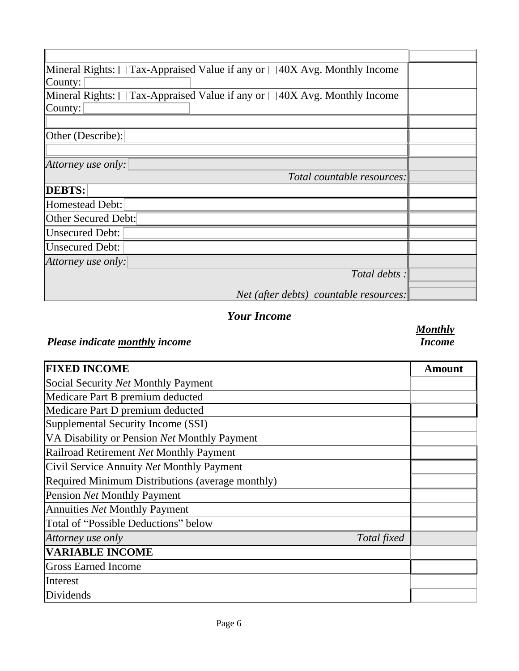| Mineral Rights: $\Box$ Tax-Appraised Value if any or $\Box$ 40X Avg. Monthly Income |  |
|-------------------------------------------------------------------------------------|--|
| County:                                                                             |  |
| Mineral Rights: $\Box$ Tax-Appraised Value if any or $\Box$ 40X Avg. Monthly Income |  |
| County:                                                                             |  |
|                                                                                     |  |
| Other (Describe):                                                                   |  |
|                                                                                     |  |
| Attorney use only:                                                                  |  |
| Total countable resources:                                                          |  |
| <b>DEBTS:</b>                                                                       |  |
| Homestead Debt:                                                                     |  |
| Other Secured Debt:                                                                 |  |
| <b>Unsecured Debt:</b>                                                              |  |
| <b>Unsecured Debt:</b>                                                              |  |
| Attorney use only:                                                                  |  |
| Total debts :                                                                       |  |
| Net (after debts) countable resources:                                              |  |

## *Your Income*

# *Please indicate monthly income*

#### *Monthly Income*

| <b>FIXED INCOME</b>                              | Amount |
|--------------------------------------------------|--------|
| Social Security Net Monthly Payment              |        |
| Medicare Part B premium deducted                 |        |
| Medicare Part D premium deducted                 |        |
| Supplemental Security Income (SSI)               |        |
| VA Disability or Pension Net Monthly Payment     |        |
| Railroad Retirement Net Monthly Payment          |        |
| Civil Service Annuity Net Monthly Payment        |        |
| Required Minimum Distributions (average monthly) |        |
| Pension Net Monthly Payment                      |        |
| <b>Annuities Net Monthly Payment</b>             |        |
| Total of "Possible Deductions" below             |        |
| Attorney use only<br>Total fixed                 |        |
| <b>VARIABLE INCOME</b>                           |        |
| <b>Gross Earned Income</b>                       |        |
| Interest                                         |        |
| Dividends                                        |        |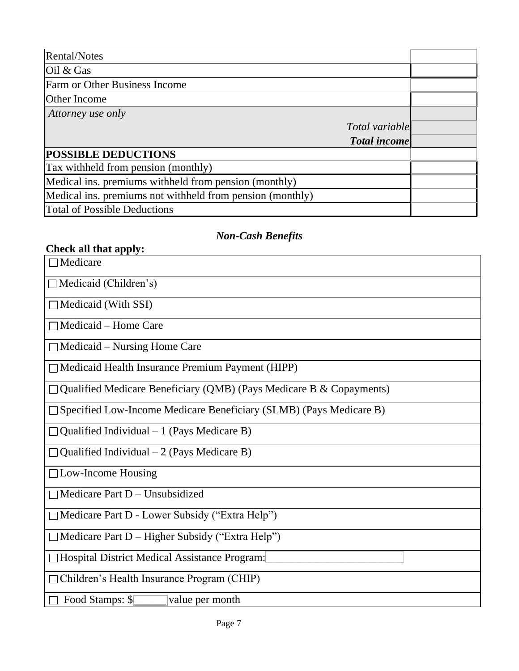| Rental/Notes                                              |                     |  |
|-----------------------------------------------------------|---------------------|--|
| Oil & Gas                                                 |                     |  |
| Farm or Other Business Income                             |                     |  |
| Other Income                                              |                     |  |
| Attorney use only                                         |                     |  |
|                                                           | Total variable      |  |
|                                                           | <b>Total income</b> |  |
| <b>POSSIBLE DEDUCTIONS</b>                                |                     |  |
| Tax withheld from pension (monthly)                       |                     |  |
| Medical ins. premiums withheld from pension (monthly)     |                     |  |
| Medical ins. premiums not withheld from pension (monthly) |                     |  |
| <b>Total of Possible Deductions</b>                       |                     |  |

# *Non-Cash Benefits*

| Check all that apply:                                                     |
|---------------------------------------------------------------------------|
| $\Box$ Medicare                                                           |
| $\Box$ Medicaid (Children's)                                              |
| Medicaid (With SSI)                                                       |
| $\Box$ Medicaid – Home Care                                               |
| $\Box$ Medicaid – Nursing Home Care                                       |
| $\Box$ Medicaid Health Insurance Premium Payment (HIPP)                   |
| Qualified Medicare Beneficiary (QMB) (Pays Medicare B & Copayments)       |
| $\Box$ Specified Low-Income Medicare Beneficiary (SLMB) (Pays Medicare B) |
| Qualified Individual $-1$ (Pays Medicare B)                               |
| $\Box$ Qualified Individual – 2 (Pays Medicare B)                         |
| $\Box$ Low-Income Housing                                                 |
| $\Box$ Medicare Part D – Unsubsidized                                     |
| □ Medicare Part D - Lower Subsidy ("Extra Help")                          |
| □ Medicare Part D - Higher Subsidy ("Extra Help")                         |
| □ Hospital District Medical Assistance Program:                           |
| □ Children's Health Insurance Program (CHIP)                              |
| □ Food Stamps: \$<br>value per month                                      |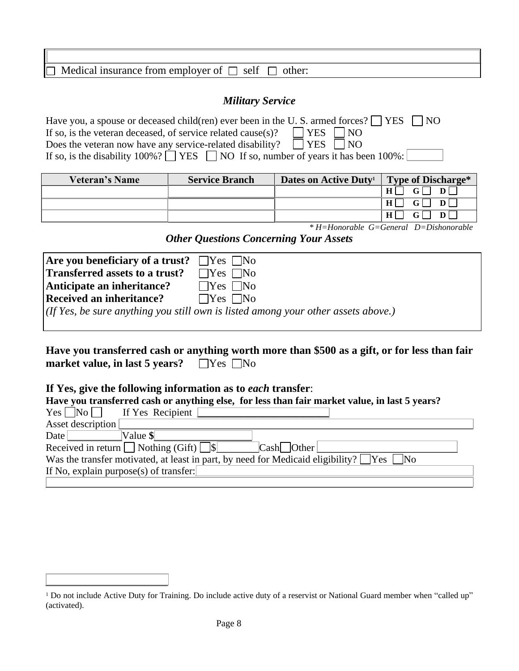| $\Box$<br>dical insurance from employer<br>Me<br>- OT<br>self<br>other: |
|-------------------------------------------------------------------------|
|                                                                         |

#### *Military Service*

| Have you, a spouse or deceased child(ren) ever been in the U.S. armed forces? $\Box$ YES $\Box$ NO   |
|------------------------------------------------------------------------------------------------------|
| If so, is the veteran deceased, of service related cause(s)? $\Box$ YES $\Box$ NO                    |
| Does the veteran now have any service-related disability? $\Box$ YES $\Box$ NO                       |
| If so, is the disability $100\%$ ? $\Box$ YES $\Box$ NO If so, number of years it has been $100\%$ : |

| <b>Veteran's Name</b> | <b>Service Branch</b> | Dates on Active Duty <sup>1</sup> | Type of Discharge*                      |
|-----------------------|-----------------------|-----------------------------------|-----------------------------------------|
|                       |                       |                                   | H                                       |
|                       |                       |                                   | $G\Gamma$<br>$H$ $\Gamma$<br>$D \Gamma$ |
|                       |                       |                                   |                                         |

*\* H=Honorable G=General D=Dishonorable*

*Other Questions Concerning Your Assets*

| Are you beneficiary of a trust? $\Box$ Yes $\Box$ No |                                                                                        |
|------------------------------------------------------|----------------------------------------------------------------------------------------|
| Transferred assets to a trust?                       | $\Box$ Yes $\Box$ No                                                                   |
| Anticipate an inheritance?                           | $\Box$ Yes $\Box$ No                                                                   |
| Received an inheritance?                             | $\Box$ Yes $\Box$ No                                                                   |
|                                                      | $(f f Y e s, be sure anything you still own is listed among your other assets above.)$ |
|                                                      |                                                                                        |

**Have you transferred cash or anything worth more than \$500 as a gift, or for less than fair market value, in last 5 years?**  $\Box$  Yes  $\Box$  No

#### **If Yes, give the following information as to** *each* **transfer**:

| Have you transferred cash or anything else, for less than fair market value, in last 5 years? |                                                                                                      |  |  |  |
|-----------------------------------------------------------------------------------------------|------------------------------------------------------------------------------------------------------|--|--|--|
| $Yes \Box No \Box$                                                                            | If Yes Recipient                                                                                     |  |  |  |
| Asset description                                                                             |                                                                                                      |  |  |  |
| Date                                                                                          | $Value \$                                                                                            |  |  |  |
|                                                                                               | Received in return $\Box$ Nothing (Gift) $\Box$<br>$\lfloor$ Cash $\lfloor$ Other                    |  |  |  |
|                                                                                               | Was the transfer motivated, at least in part, by need for Medicaid eligibility? $\Box$ Yes $\Box$ No |  |  |  |
|                                                                                               | If No, explain purpose(s) of transfer:                                                               |  |  |  |
|                                                                                               |                                                                                                      |  |  |  |

<sup>&</sup>lt;sup>1</sup> Do not include Active Duty for Training. Do include active duty of a reservist or National Guard member when "called up" (activated).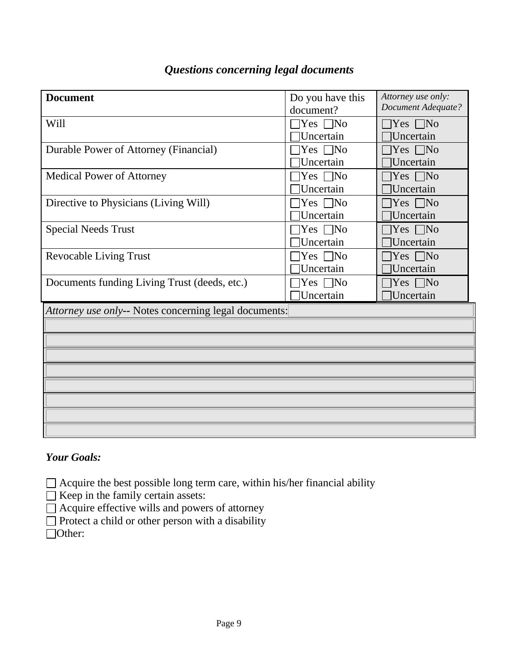| <b>Document</b>                                       | Do you have this        | Attorney use only:        |
|-------------------------------------------------------|-------------------------|---------------------------|
|                                                       | document?               | <b>Document Adequate?</b> |
| Will                                                  | $\Box$ Yes $\Box$ No    | $\exists$ Yes $\Box$ No   |
|                                                       | Uncertain               | Uncertain                 |
| Durable Power of Attorney (Financial)                 | $\exists$ Yes $\Box$ No | $\Box$ Yes $\Box$ No      |
|                                                       | Uncertain               | Uncertain                 |
| <b>Medical Power of Attorney</b>                      | $\exists$ Yes $\Box$ No | $\exists$ Yes $\Box$ No   |
|                                                       | <b>Uncertain</b>        | Uncertain                 |
| Directive to Physicians (Living Will)                 | $\exists$ Yes $\Box$ No | $\exists$ Yes $\Box$ No   |
|                                                       | Uncertain               | <b>Uncertain</b>          |
| <b>Special Needs Trust</b>                            | $\exists$ Yes $\Box$ No | $\exists$ Yes $\Box$ No   |
|                                                       | Uncertain               | Uncertain                 |
| <b>Revocable Living Trust</b>                         | $\exists$ Yes $\Box$ No | $\exists$ Yes $\Box$ No   |
|                                                       | <b>Uncertain</b>        | Uncertain                 |
| Documents funding Living Trust (deeds, etc.)          | $\exists$ Yes $\Box$ No | $\exists$ Yes $\Box$ No   |
|                                                       | □Uncertain              | Uncertain                 |
| Attorney use only-- Notes concerning legal documents: |                         |                           |
|                                                       |                         |                           |
|                                                       |                         |                           |
|                                                       |                         |                           |
|                                                       |                         |                           |
|                                                       |                         |                           |
|                                                       |                         |                           |
|                                                       |                         |                           |
|                                                       |                         |                           |
|                                                       |                         |                           |

## *Questions concerning legal documents*

#### *Your Goals:*

Acquire the best possible long term care, within his/her financial ability

 $\Box$  Keep in the family certain assets:

 $\Box$  Acquire effective wills and powers of attorney

 $\Box$  Protect a child or other person with a disability

□Other: